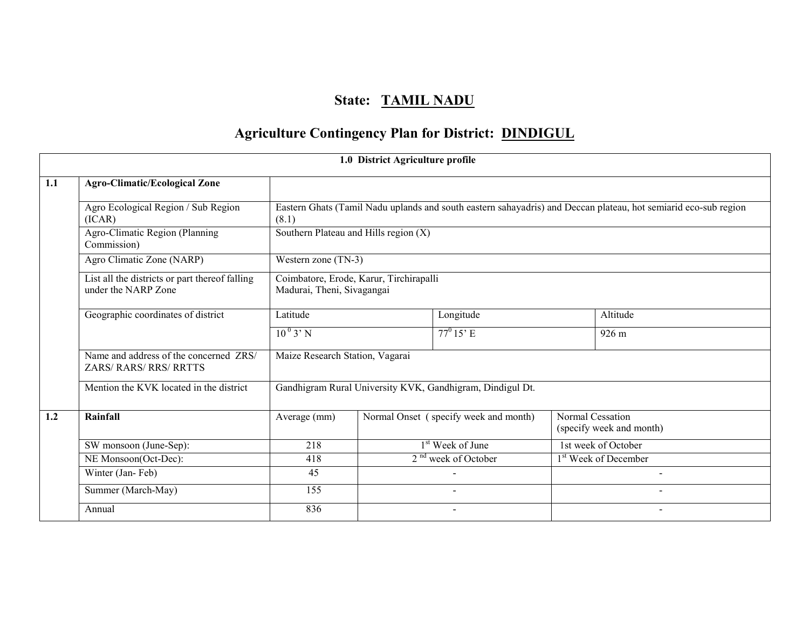# State: TAMIL NADU

# Agriculture Contingency Plan for District: DINDIGUL

|     |                                                                         |                                                                       | 1.0 District Agriculture profile      |                                                           |  |                                                                                                                 |
|-----|-------------------------------------------------------------------------|-----------------------------------------------------------------------|---------------------------------------|-----------------------------------------------------------|--|-----------------------------------------------------------------------------------------------------------------|
| 1.1 | <b>Agro-Climatic/Ecological Zone</b>                                    |                                                                       |                                       |                                                           |  |                                                                                                                 |
|     | Agro Ecological Region / Sub Region<br>(ICAR)                           | (8.1)                                                                 |                                       |                                                           |  | Eastern Ghats (Tamil Nadu uplands and south eastern sahayadris) and Deccan plateau, hot semiarid eco-sub region |
|     | Agro-Climatic Region (Planning<br>Commission)                           |                                                                       | Southern Plateau and Hills region (X) |                                                           |  |                                                                                                                 |
|     | Agro Climatic Zone (NARP)                                               | Western zone (TN-3)                                                   |                                       |                                                           |  |                                                                                                                 |
|     | List all the districts or part thereof falling<br>under the NARP Zone   | Coimbatore, Erode, Karur, Tirchirapalli<br>Madurai, Theni, Sivagangai |                                       |                                                           |  |                                                                                                                 |
|     | Geographic coordinates of district                                      | Latitude                                                              |                                       | Longitude                                                 |  | Altitude                                                                                                        |
|     |                                                                         | $10^{0}$ 3' N                                                         |                                       | $77^{\circ} 15^{\circ}$ E                                 |  | 926 m                                                                                                           |
|     | Name and address of the concerned ZRS/<br><b>ZARS/ RARS/ RRS/ RRTTS</b> | Maize Research Station, Vagarai                                       |                                       |                                                           |  |                                                                                                                 |
|     | Mention the KVK located in the district                                 |                                                                       |                                       | Gandhigram Rural University KVK, Gandhigram, Dindigul Dt. |  |                                                                                                                 |
| 1.2 | Rainfall                                                                | Average (mm)                                                          |                                       | Normal Onset (specify week and month)                     |  | Normal Cessation<br>(specify week and month)                                                                    |
|     | SW monsoon (June-Sep):                                                  | 218                                                                   |                                       | 1 <sup>st</sup> Week of June                              |  | 1st week of October                                                                                             |
|     | NE Monsoon(Oct-Dec):                                                    | 418                                                                   |                                       | 2 <sup>nd</sup> week of October                           |  | 1 <sup>st</sup> Week of December                                                                                |
|     | Winter (Jan-Feb)                                                        | 45                                                                    |                                       |                                                           |  |                                                                                                                 |
|     | Summer (March-May)                                                      | 155                                                                   |                                       |                                                           |  |                                                                                                                 |
|     | Annual                                                                  | 836                                                                   |                                       |                                                           |  |                                                                                                                 |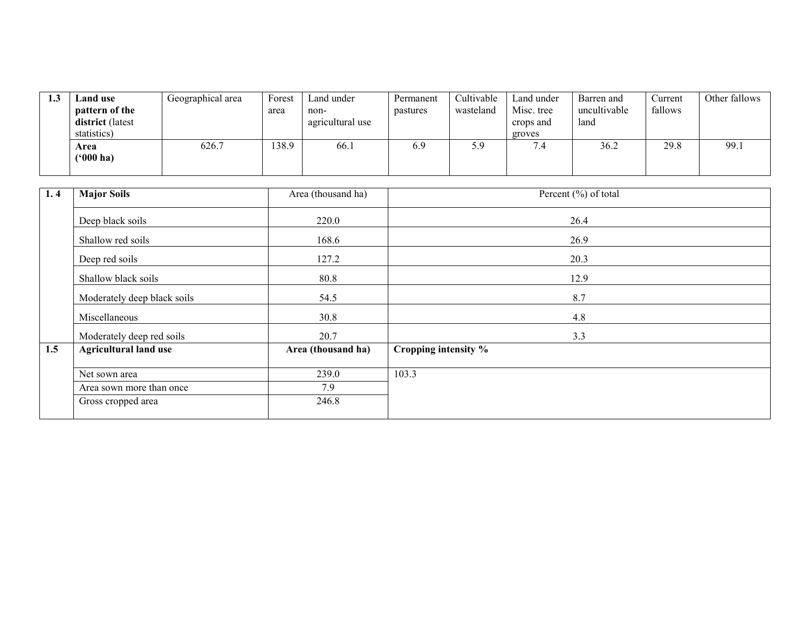| لي 1 | Land use<br>pattern of the<br>district (latest<br>statistics) | Geographical area | Forest<br>area | Land under<br>non-<br>agricultural use | Permanent<br>pastures | Cultivable<br>wasteland | Land under<br>Misc. tree<br>crops and<br>groves | Barren and<br>uncultivable<br>land | Current<br>fallows | Other fallows |
|------|---------------------------------------------------------------|-------------------|----------------|----------------------------------------|-----------------------|-------------------------|-------------------------------------------------|------------------------------------|--------------------|---------------|
|      | Area<br>$(900 \text{ ha})$                                    | 626.7             | 138.9          | 66.1                                   | 6.9                   | J.,                     | ۰.4                                             | 36.2                               | 29.8               | 99.1          |

| 1.4 | <b>Major Soils</b>           | Area (thousand ha) | Percent (%) of total |
|-----|------------------------------|--------------------|----------------------|
|     | Deep black soils             | 220.0              | 26.4                 |
|     | Shallow red soils            | 168.6              | 26.9                 |
|     | Deep red soils               | 127.2              | 20.3                 |
|     | Shallow black soils          | 80.8               | 12.9                 |
|     | Moderately deep black soils  | 54.5               | 8.7                  |
|     | Miscellaneous                | 30.8               | 4.8                  |
|     | Moderately deep red soils    | 20.7               | 3.3                  |
| 1.5 | <b>Agricultural land use</b> | Area (thousand ha) | Cropping intensity % |
|     | Net sown area                | 239.0              | 103.3                |
|     | Area sown more than once     | 7.9                |                      |
|     | Gross cropped area           | 246.8              |                      |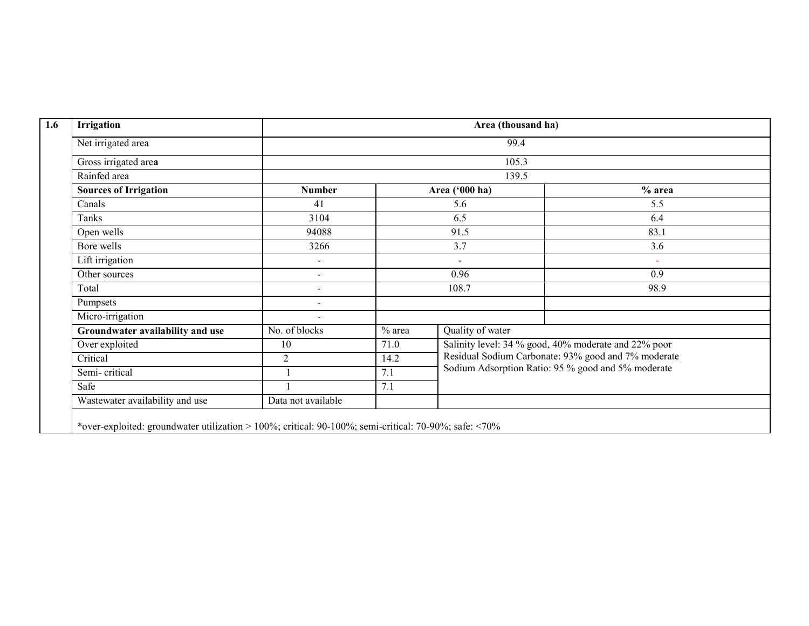| <b>Irrigation</b>                |                          | Area (thousand ha)       |                  |                                                      |  |  |  |
|----------------------------------|--------------------------|--------------------------|------------------|------------------------------------------------------|--|--|--|
| Net irrigated area               |                          |                          | 99.4             |                                                      |  |  |  |
| Gross irrigated area             |                          |                          | 105.3            |                                                      |  |  |  |
| Rainfed area                     |                          |                          |                  |                                                      |  |  |  |
| <b>Sources of Irrigation</b>     | <b>Number</b>            |                          | Area ('000 ha)   | $%$ area                                             |  |  |  |
| Canals                           | 41                       |                          | 5.6              | 5.5                                                  |  |  |  |
| Tanks                            | 3104                     |                          | 6.5              | 6.4                                                  |  |  |  |
| Open wells                       | 94088                    |                          | 91.5             | 83.1                                                 |  |  |  |
| Bore wells                       | 3266                     | 3.7                      |                  | 3.6                                                  |  |  |  |
| Lift irrigation                  | $\overline{\phantom{a}}$ | $\overline{\phantom{a}}$ |                  | ۰                                                    |  |  |  |
| Other sources                    | $\blacksquare$           |                          | 0.96             | 0.9                                                  |  |  |  |
| Total                            | $\sim$                   |                          | 108.7            | 98.9                                                 |  |  |  |
| Pumpsets                         | $\overline{\phantom{a}}$ |                          |                  |                                                      |  |  |  |
| Micro-irrigation                 | $\overline{\phantom{a}}$ |                          |                  |                                                      |  |  |  |
| Groundwater availability and use | No. of blocks            | $%$ area                 | Quality of water |                                                      |  |  |  |
| Over exploited                   | 10                       | 71.0                     |                  | Salinity level: 34 % good, 40% moderate and 22% poor |  |  |  |
| Critical                         | $\overline{2}$           | 14.2                     |                  | Residual Sodium Carbonate: 93% good and 7% moderate  |  |  |  |
| Semi-critical                    |                          | 7.1                      |                  | Sodium Adsorption Ratio: 95 % good and 5% moderate   |  |  |  |
| Safe                             |                          | 7.1                      |                  |                                                      |  |  |  |
| Wastewater availability and use  | Data not available       |                          |                  |                                                      |  |  |  |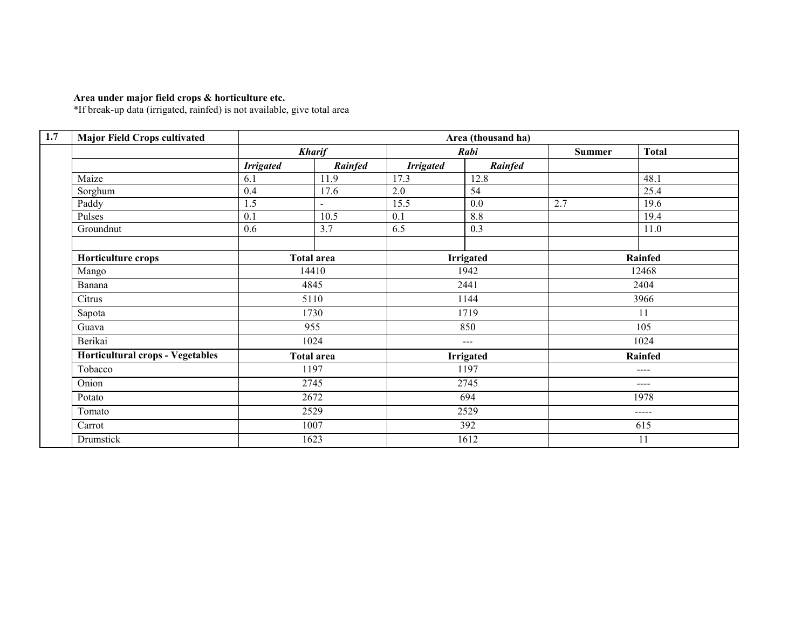Area under major field crops & horticulture etc. \*If break-up data (irrigated, rainfed) is not available, give total area

| <b>Major Field Crops cultivated</b>     |                  |                          |                  | Area (thousand ha) |               |                |  |
|-----------------------------------------|------------------|--------------------------|------------------|--------------------|---------------|----------------|--|
|                                         |                  | <b>Kharif</b>            |                  | Rabi               | <b>Summer</b> | <b>Total</b>   |  |
|                                         | <b>Irrigated</b> | Rainfed                  | <b>Irrigated</b> | Rainfed            |               |                |  |
| Maize                                   | 6.1              | 11.9                     | 17.3             | 12.8               |               | 48.1           |  |
| Sorghum                                 | 0.4              | 17.6                     | 2.0              | 54                 |               | 25.4           |  |
| Paddy                                   | 1.5              | $\overline{\phantom{0}}$ | 15.5             | 0.0                | 2.7           | 19.6           |  |
| Pulses                                  | 0.1              | 10.5                     | 0.1              | 8.8                |               | 19.4           |  |
| Groundnut                               | 0.6              | 3.7                      | 6.5              | 0.3                |               | 11.0           |  |
| Horticulture crops                      |                  | <b>Total area</b>        |                  | <b>Irrigated</b>   |               | Rainfed        |  |
| Mango                                   |                  | 14410                    |                  | 1942               |               | 12468          |  |
| Banana                                  |                  | 4845                     |                  | 2441               |               | 2404           |  |
| Citrus                                  |                  | 5110                     |                  | 1144               |               | 3966           |  |
| Sapota                                  |                  | 1730                     |                  | 1719               |               | 11             |  |
| Guava                                   |                  | 955                      |                  | 850<br>$---$       |               | 105            |  |
| Berikai                                 |                  | 1024                     |                  |                    |               | 1024           |  |
| <b>Horticultural crops - Vegetables</b> |                  | <b>Total area</b>        |                  | <b>Irrigated</b>   |               | <b>Rainfed</b> |  |
| Tobacco                                 |                  | 1197                     |                  | 1197               |               | $---$          |  |
| Onion                                   |                  | 2745                     |                  | 2745               |               | ----           |  |
| Potato                                  |                  | 2672                     |                  | 694                |               | 1978           |  |
| Tomato                                  |                  | 2529                     |                  | 2529               |               | $\frac{1}{2}$  |  |
| Carrot                                  |                  | 1007                     |                  | 392                |               | 615            |  |
| Drumstick                               |                  | 1623                     |                  | 1612               |               | 11             |  |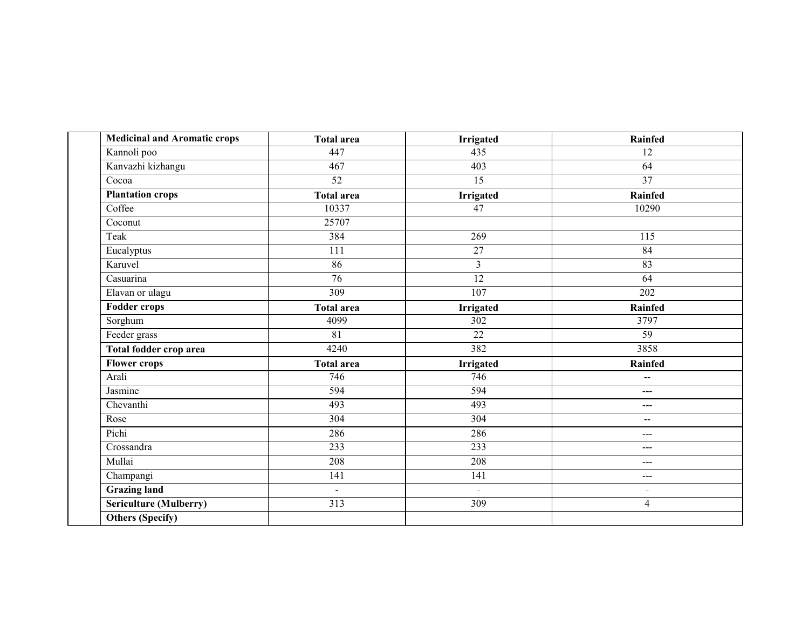| <b>Medicinal and Aromatic crops</b> | <b>Total area</b> | <b>Irrigated</b>         | Rainfed                  |
|-------------------------------------|-------------------|--------------------------|--------------------------|
| Kannoli poo                         | 447               | 435                      | 12                       |
| Kanvazhi kizhangu                   | 467               | 403                      | 64                       |
| Cocoa                               | 52                | 15                       | $\overline{37}$          |
| <b>Plantation crops</b>             | <b>Total area</b> | <b>Irrigated</b>         | Rainfed                  |
| Coffee                              | 10337             | $\overline{47}$          | 10290                    |
| Coconut                             | 25707             |                          |                          |
| Teak                                | 384               | 269                      | 115                      |
| Eucalyptus                          | $\overline{111}$  | 27                       | $\overline{84}$          |
| Karuvel                             | 86                | $\overline{3}$           | 83                       |
| Casuarina                           | $\overline{76}$   | $\overline{12}$          | 64                       |
| Elavan or ulagu                     | $\overline{309}$  | $\overline{107}$         | 202                      |
| <b>Fodder crops</b>                 | <b>Total area</b> | Irrigated                | <b>Rainfed</b>           |
| Sorghum                             | 4099              | 302                      | 3797                     |
| Feeder grass                        | $\overline{81}$   | $\overline{22}$          | 59                       |
| Total fodder crop area              | 4240              | 382                      | 3858                     |
| <b>Flower crops</b>                 | <b>Total area</b> | Irrigated                | <b>Rainfed</b>           |
| Arali                               | 746               | 746                      | $\overline{a}$           |
| Jasmine                             | 594               | 594                      | $\sim$ $\sim$ $\sim$     |
| Chevanthi                           | 493               | 493                      | $---$                    |
| Rose                                | 304               | 304                      | $\overline{\phantom{m}}$ |
| Pichi                               | 286               | 286                      | $---$                    |
| Crossandra                          | 233               | $\overline{233}$         | $---$                    |
| Mullai                              | 208               | 208                      | $---$                    |
| Champangi                           | 141               | 141                      | $---$                    |
| <b>Grazing land</b>                 | $\blacksquare$    | $\overline{\phantom{a}}$ | ÷                        |
| Sericulture (Mulberry)              | $\overline{313}$  | 309                      | $\overline{4}$           |
| <b>Others (Specify)</b>             |                   |                          |                          |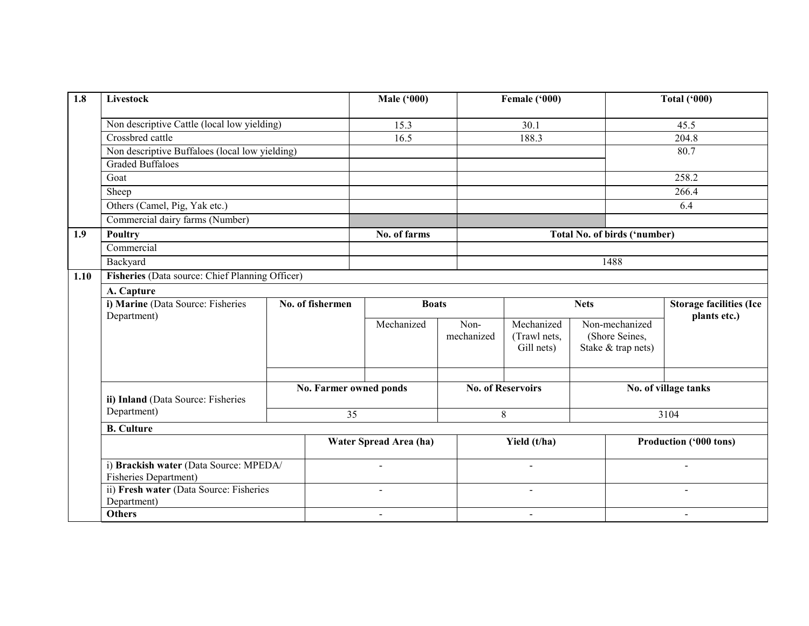| 1.8  | Livestock                                                              |                        |                                  | <b>Male ('000)</b>     |                    | Female ('000)                            |      | <b>Total ('000)</b>                                    |                        |  |
|------|------------------------------------------------------------------------|------------------------|----------------------------------|------------------------|--------------------|------------------------------------------|------|--------------------------------------------------------|------------------------|--|
|      | Non descriptive Cattle (local low yielding)                            |                        |                                  | 15.3                   |                    | 30.1                                     |      | 45.5                                                   |                        |  |
|      | Crossbred cattle                                                       |                        |                                  | 16.5                   |                    | 188.3                                    |      | 204.8                                                  |                        |  |
|      | Non descriptive Buffaloes (local low yielding)                         |                        |                                  |                        |                    |                                          |      |                                                        | 80.7                   |  |
|      | <b>Graded Buffaloes</b>                                                |                        |                                  |                        |                    |                                          |      |                                                        |                        |  |
|      | Goat                                                                   |                        |                                  |                        |                    |                                          |      |                                                        | 258.2                  |  |
|      | Sheep                                                                  |                        |                                  |                        |                    |                                          |      |                                                        | 266.4                  |  |
|      | Others (Camel, Pig, Yak etc.)                                          |                        |                                  |                        |                    |                                          |      |                                                        | 6.4                    |  |
|      | Commercial dairy farms (Number)                                        |                        |                                  |                        |                    |                                          |      |                                                        |                        |  |
| 1.9  | Poultry                                                                |                        |                                  | No. of farms           |                    |                                          |      | Total No. of birds ('number)                           |                        |  |
|      | Commercial                                                             |                        |                                  |                        |                    |                                          |      |                                                        |                        |  |
|      | Backyard                                                               |                        |                                  |                        |                    |                                          | 1488 |                                                        |                        |  |
| 1.10 | Fisheries (Data source: Chief Planning Officer)                        |                        |                                  |                        |                    |                                          |      |                                                        |                        |  |
|      | A. Capture                                                             |                        |                                  |                        |                    |                                          |      |                                                        |                        |  |
|      | i) Marine (Data Source: Fisheries                                      |                        | No. of fishermen<br><b>Boats</b> |                        |                    | <b>Nets</b>                              |      | <b>Storage facilities (Ice</b><br>plants etc.)         |                        |  |
|      | Department)                                                            |                        |                                  | Mechanized             | Non-<br>mechanized | Mechanized<br>(Trawl nets,<br>Gill nets) |      | Non-mechanized<br>(Shore Seines,<br>Stake & trap nets) |                        |  |
|      | ii) Inland (Data Source: Fisheries<br>Department)                      | No. Farmer owned ponds |                                  |                        |                    | <b>No. of Reservoirs</b>                 |      | No. of village tanks                                   |                        |  |
|      |                                                                        |                        | $\overline{35}$                  |                        |                    | $\,8\,$                                  |      |                                                        | 3104                   |  |
|      | <b>B.</b> Culture                                                      |                        |                                  |                        |                    |                                          |      |                                                        |                        |  |
|      | i) Brackish water (Data Source: MPEDA/<br><b>Fisheries Department)</b> |                        |                                  | Water Spread Area (ha) |                    | Yield (t/ha)                             |      |                                                        | Production ('000 tons) |  |
|      |                                                                        |                        |                                  |                        |                    |                                          |      |                                                        |                        |  |
|      | ii) Fresh water (Data Source: Fisheries<br>Department)                 |                        |                                  |                        |                    | $\blacksquare$                           |      |                                                        |                        |  |
|      | <b>Others</b>                                                          |                        |                                  | $\blacksquare$         |                    | $\blacksquare$                           |      | $\blacksquare$                                         |                        |  |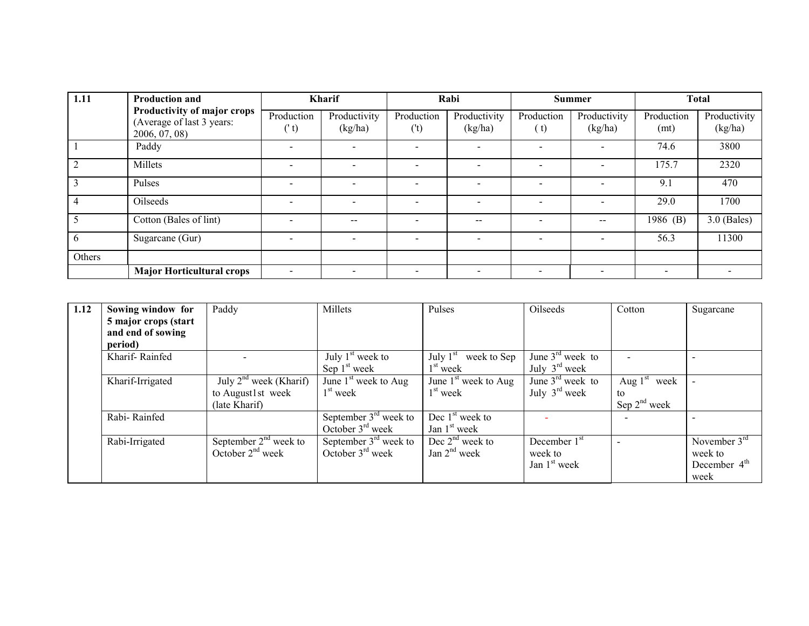| 1.11   | <b>Production and</b>                                                     |                          | <b>Kharif</b>            |                          | Rabi                     |                    | <b>Summer</b>            |                          | <b>Total</b>            |
|--------|---------------------------------------------------------------------------|--------------------------|--------------------------|--------------------------|--------------------------|--------------------|--------------------------|--------------------------|-------------------------|
|        | Productivity of major crops<br>(Average of last 3 years:<br>2006, 07, 08) | Production<br>('t)       | Productivity<br>(kg/ha)  | Production<br>('t)       | Productivity<br>(kg/ha)  | Production<br>( t) | Productivity<br>(kg/ha)  | Production<br>(mt)       | Productivity<br>(kg/ha) |
|        | Paddy                                                                     |                          |                          | $\overline{\phantom{a}}$ | $\overline{\phantom{0}}$ |                    | $\qquad \qquad$          | 74.6                     | 3800                    |
|        | Millets                                                                   |                          |                          |                          |                          |                    | $\overline{\phantom{a}}$ | 175.7                    | 2320                    |
| 3      | Pulses                                                                    | $\overline{\phantom{0}}$ | $\blacksquare$           | $\overline{\phantom{a}}$ | $\blacksquare$           |                    | $\blacksquare$           | 9.1                      | 470                     |
|        | Oilseeds                                                                  |                          |                          | $\overline{\phantom{a}}$ | $\overline{\phantom{0}}$ |                    | $\overline{\phantom{a}}$ | 29.0                     | 1700                    |
|        | Cotton (Bales of lint)                                                    |                          | $-$                      |                          | $-$                      |                    | $- -$                    | 1986 (B)                 | $3.0$ (Bales)           |
|        | Sugarcane (Gur)                                                           |                          | $\overline{\phantom{0}}$ | $\overline{\phantom{a}}$ | $\overline{a}$           | $\sim$             | $\overline{\phantom{a}}$ | 56.3                     | 11300                   |
| Others |                                                                           |                          |                          |                          |                          |                    |                          |                          |                         |
|        | <b>Major Horticultural crops</b>                                          |                          |                          |                          |                          |                    |                          | $\overline{\phantom{a}}$ |                         |

| 1.12 | Sowing window for    | Paddy                                                    | Millets                 | Pulses                    | Oilseeds                  | Cotton            | Sugarcane      |
|------|----------------------|----------------------------------------------------------|-------------------------|---------------------------|---------------------------|-------------------|----------------|
|      | 5 major crops (start |                                                          |                         |                           |                           |                   |                |
|      | and end of sowing    |                                                          |                         |                           |                           |                   |                |
|      | period)              |                                                          |                         |                           |                           |                   |                |
|      | Kharif-Rainfed       |                                                          | July $1st$ week to      | July $1st$<br>week to Sep | June $3rd$ week to        |                   |                |
|      |                      |                                                          | Sep $1st$ week          | 1 <sup>st</sup> week      | July $3^{\text{rd}}$ week |                   |                |
|      | Kharif-Irrigated     | $\overline{\mathrm{July}}$ 2 <sup>nd</sup> week (Kharif) | June $1st$ week to Aug  | June $1st$ week to Aug    | June $3rd$ week to        | Aug $1st$ week    |                |
|      |                      | to August1st week                                        | $1st$ week              | $1st$ week                | July $3^{\text{rd}}$ week | to                |                |
|      |                      | (late Kharif)                                            |                         |                           |                           | Sep $2^{nd}$ week |                |
|      | Rabi-Rainfed         |                                                          | September $3rd$ week to | Dec $1st$ week to         |                           |                   |                |
|      |                      |                                                          | October $3rd$ week      | Jan $1st$ week            |                           |                   |                |
|      | Rabi-Irrigated       | September $2nd$ week to                                  | September $3rd$ week to | Dec $2nd$ week to         | December $1st$            |                   | November $3rd$ |
|      |                      | October $2nd$ week                                       | October $3rd$ week      | Jan $2nd$ week            | week to                   |                   | week to        |
|      |                      |                                                          |                         |                           | Jan $1st$ week            |                   | December $4th$ |
|      |                      |                                                          |                         |                           |                           |                   | week           |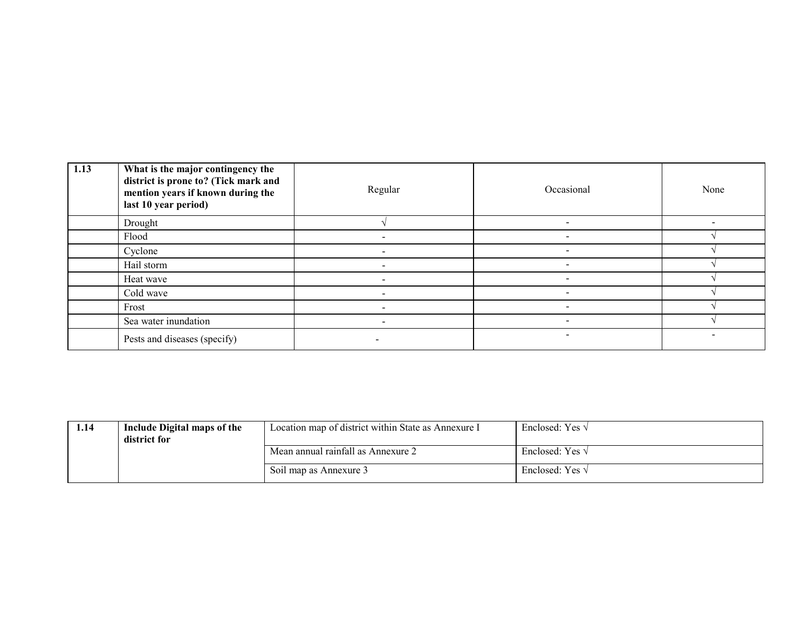| 1.13 | What is the major contingency the<br>district is prone to? (Tick mark and<br>mention years if known during the<br>last 10 year period) | Regular                  | Occasional               | None |
|------|----------------------------------------------------------------------------------------------------------------------------------------|--------------------------|--------------------------|------|
|      | Drought                                                                                                                                |                          | $\overline{\phantom{0}}$ |      |
|      | Flood                                                                                                                                  |                          |                          |      |
|      | Cyclone                                                                                                                                |                          |                          |      |
|      | Hail storm                                                                                                                             |                          |                          |      |
|      | Heat wave                                                                                                                              |                          |                          |      |
|      | Cold wave                                                                                                                              |                          |                          |      |
|      | Frost                                                                                                                                  | $\overline{\phantom{0}}$ | $\,$                     |      |
|      | Sea water inundation                                                                                                                   |                          | $\overline{\phantom{0}}$ |      |
|      | Pests and diseases (specify)                                                                                                           |                          |                          |      |

| 1.14 | Include Digital maps of the<br>district for | Location map of district within State as Annexure I | Enclosed: Yes $\sqrt{ }$ |
|------|---------------------------------------------|-----------------------------------------------------|--------------------------|
|      |                                             | Mean annual rainfall as Annexure 2                  | Enclosed: Yes $\sqrt{ }$ |
|      |                                             | Soil map as Annexure 3                              | Enclosed: Yes $\sqrt$    |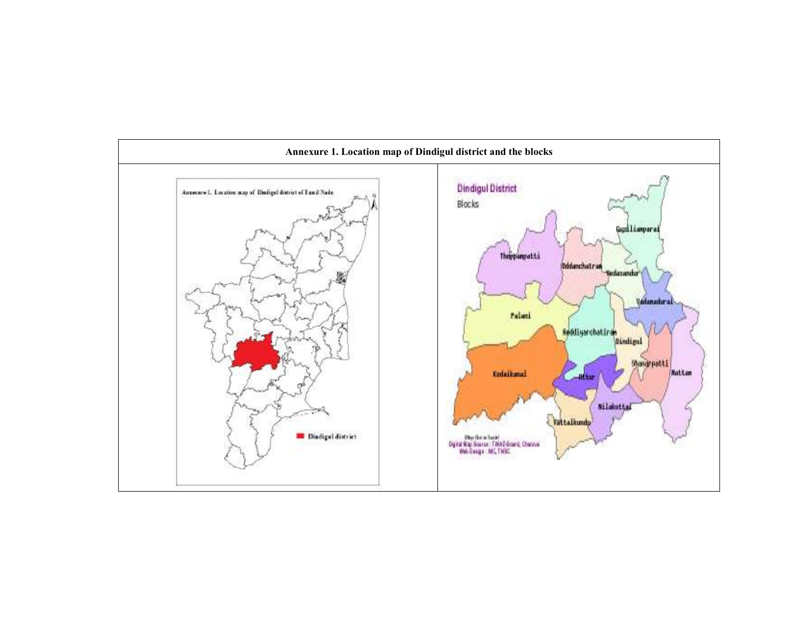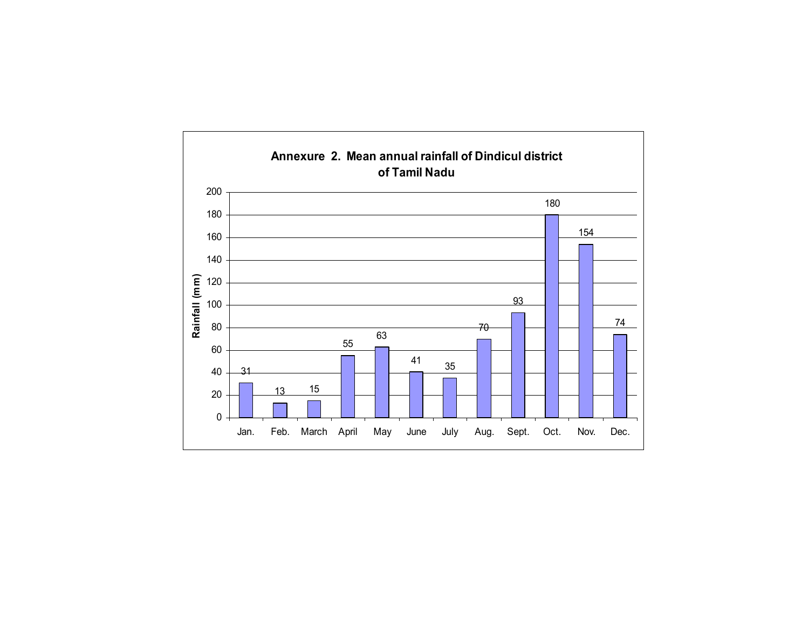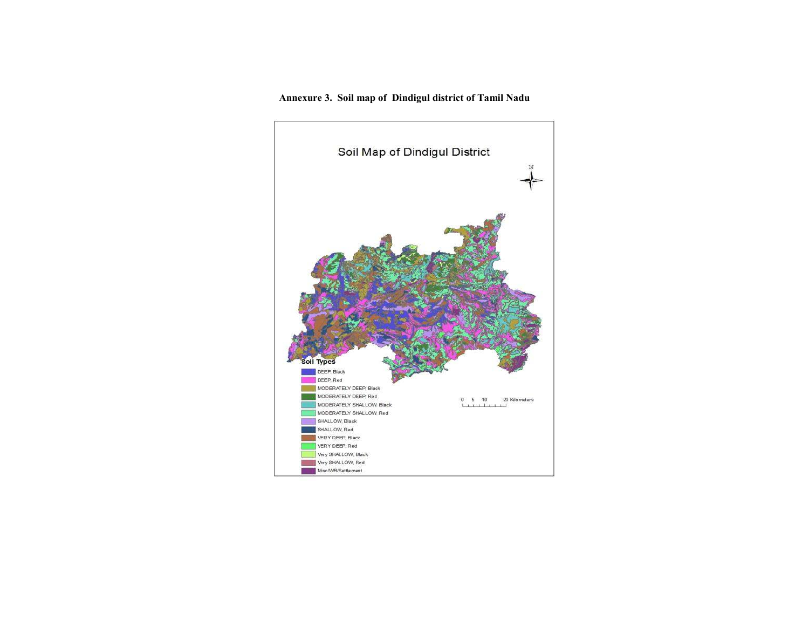Annexure 3. Soil map of Dindigul district of Tamil Nadu

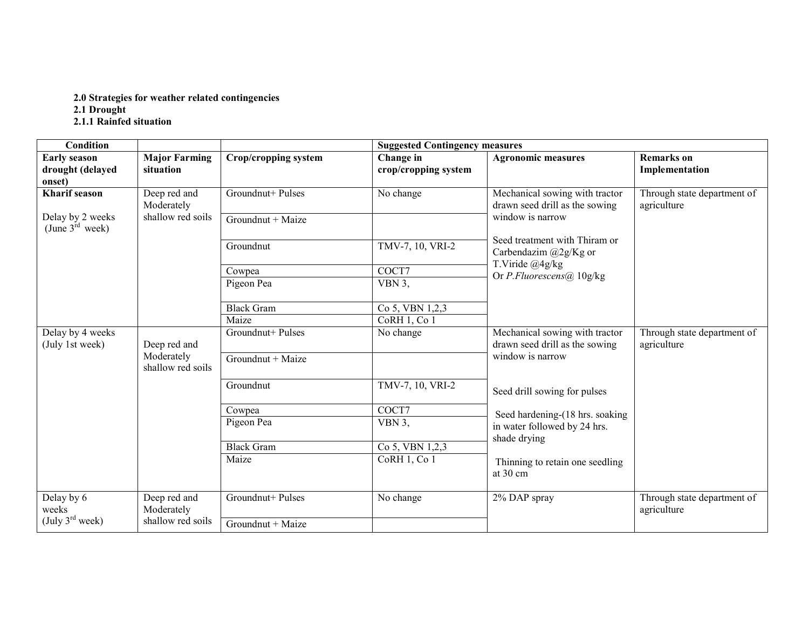## 2.0 Strategies for weather related contingencies 2.1 Drought<br>2.1.1 Rainfed situation

| <b>Condition</b>                                  |                                   |                         | <b>Suggested Contingency measures</b> |                                                                  |                                            |  |  |  |  |
|---------------------------------------------------|-----------------------------------|-------------------------|---------------------------------------|------------------------------------------------------------------|--------------------------------------------|--|--|--|--|
| <b>Early season</b><br>drought (delayed<br>onset) | <b>Major Farming</b><br>situation | Crop/cropping system    | Change in<br>crop/cropping system     | <b>Agronomic measures</b>                                        | <b>Remarks</b> on<br>Implementation        |  |  |  |  |
| <b>Kharif</b> season                              | Deep red and<br>Moderately        | Groundnut+ Pulses       | No change                             | Mechanical sowing with tractor<br>drawn seed drill as the sowing | Through state department of<br>agriculture |  |  |  |  |
| Delay by 2 weeks<br>(June $3^{\text{rd}}$ week)   | shallow red soils                 | Groundnut + Maize       |                                       | window is narrow                                                 |                                            |  |  |  |  |
|                                                   |                                   | Groundnut               | TMV-7, 10, VRI-2                      | Seed treatment with Thiram or<br>Carbendazim @2g/Kg or           |                                            |  |  |  |  |
|                                                   |                                   | Cowpea                  | COCT7                                 | T.Viride @4g/kg<br>Or P.Fluorescens@ $10g/kg$                    |                                            |  |  |  |  |
|                                                   |                                   | VBN $3$ ,<br>Pigeon Pea |                                       |                                                                  |                                            |  |  |  |  |
|                                                   |                                   | Black Gram              | Co 5, VBN 1,2,3                       |                                                                  |                                            |  |  |  |  |
|                                                   |                                   | Maize                   | CoRH 1, Co 1                          |                                                                  |                                            |  |  |  |  |
| Delay by 4 weeks<br>(July 1st week)               | Deep red and                      | Groundnut+ Pulses       | No change                             | Mechanical sowing with tractor<br>drawn seed drill as the sowing | Through state department of<br>agriculture |  |  |  |  |
|                                                   | Moderately<br>shallow red soils   | Groundnut + Maize       |                                       | window is narrow                                                 |                                            |  |  |  |  |
|                                                   |                                   | Groundnut               | TMV-7, 10, VRI-2                      | Seed drill sowing for pulses                                     |                                            |  |  |  |  |
|                                                   |                                   | Cowpea                  | COCT7                                 | Seed hardening-(18 hrs. soaking                                  |                                            |  |  |  |  |
|                                                   |                                   | Pigeon Pea              | VBN 3.                                | in water followed by 24 hrs.<br>shade drying                     |                                            |  |  |  |  |
|                                                   |                                   | <b>Black Gram</b>       | Co 5, VBN 1,2,3                       |                                                                  |                                            |  |  |  |  |
|                                                   |                                   | Maize                   | CoRH 1, Co 1                          | Thinning to retain one seedling<br>at 30 cm                      |                                            |  |  |  |  |
| Delay by 6<br>weeks                               | Deep red and<br>Moderately        | Groundnut+ Pulses       | No change                             | 2% DAP spray                                                     | Through state department of<br>agriculture |  |  |  |  |
| (July $3^{\text{rd}}$ week)                       | shallow red soils                 | Groundnut + Maize       |                                       |                                                                  |                                            |  |  |  |  |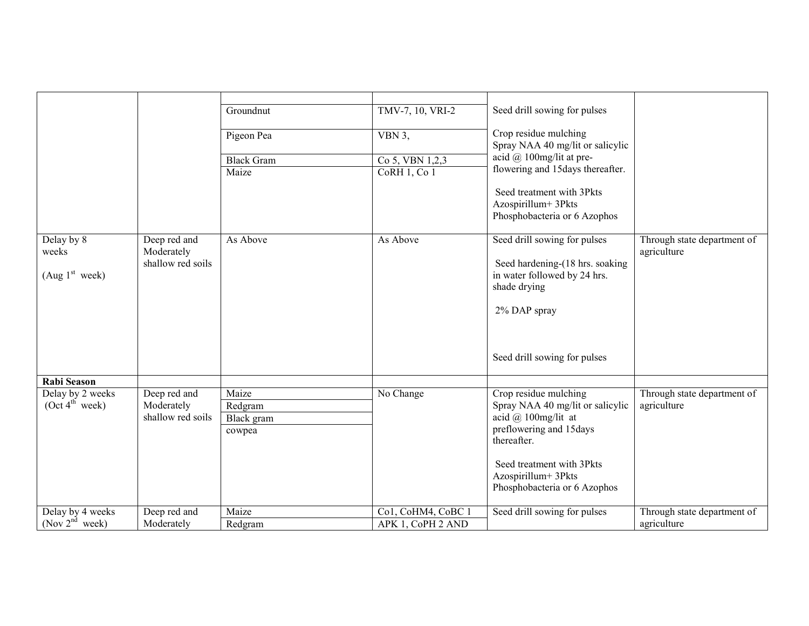|                                                   |                                                 | Groundnut                                | TMV-7, 10, VRI-2                        | Seed drill sowing for pulses                                                                                                                                                                                      |                                            |
|---------------------------------------------------|-------------------------------------------------|------------------------------------------|-----------------------------------------|-------------------------------------------------------------------------------------------------------------------------------------------------------------------------------------------------------------------|--------------------------------------------|
|                                                   |                                                 | Pigeon Pea                               | VBN 3,                                  | Crop residue mulching<br>Spray NAA 40 mg/lit or salicylic                                                                                                                                                         |                                            |
|                                                   |                                                 | <b>Black Gram</b>                        | Co 5, VBN 1,2,3                         | acid $@$ 100mg/lit at pre-                                                                                                                                                                                        |                                            |
|                                                   |                                                 | Maize                                    | CoRH 1, Co 1                            | flowering and 15days thereafter.                                                                                                                                                                                  |                                            |
|                                                   |                                                 |                                          |                                         | Seed treatment with 3Pkts<br>Azospirillum+3Pkts<br>Phosphobacteria or 6 Azophos                                                                                                                                   |                                            |
| Delay by 8<br>weeks<br>(Aug 1 <sup>st</sup> week) | Deep red and<br>Moderately<br>shallow red soils | As Above                                 | As Above                                | Seed drill sowing for pulses<br>Seed hardening-(18 hrs. soaking<br>in water followed by 24 hrs.<br>shade drying<br>2% DAP spray<br>Seed drill sowing for pulses                                                   | Through state department of<br>agriculture |
| <b>Rabi Season</b>                                |                                                 |                                          |                                         |                                                                                                                                                                                                                   |                                            |
| Delay by 2 weeks<br>(Oct 4 <sup>th</sup> week)    | Deep red and<br>Moderately<br>shallow red soils | Maize<br>Redgram<br>Black gram<br>cowpea | No Change                               | Crop residue mulching<br>Spray NAA 40 mg/lit or salicylic<br>acid $(a)$ 100mg/lit at<br>preflowering and 15days<br>thereafter.<br>Seed treatment with 3Pkts<br>Azospirillum+3Pkts<br>Phosphobacteria or 6 Azophos | Through state department of<br>agriculture |
| Delay by 4 weeks<br>$($ Nov $2nd$ week)           | Deep red and<br>Moderately                      | Maize<br>Redgram                         | Co1, CoHM4, CoBC 1<br>APK 1, CoPH 2 AND | Seed drill sowing for pulses                                                                                                                                                                                      | Through state department of<br>agriculture |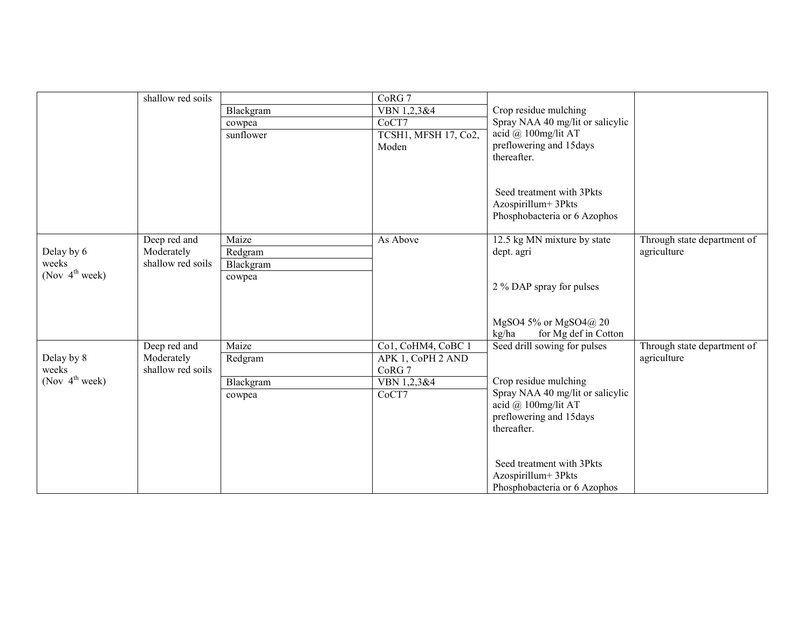|                                     | shallow red soils |           | CoRG <sub>7</sub>    |                                                         |                             |
|-------------------------------------|-------------------|-----------|----------------------|---------------------------------------------------------|-----------------------------|
|                                     |                   | Blackgram | VBN 1,2,3&4          | Crop residue mulching                                   |                             |
|                                     |                   | cowpea    | CoCT7                | Spray NAA 40 mg/lit or salicylic                        |                             |
|                                     |                   | sunflower | TCSH1, MFSH 17, Co2, | acid @ 100mg/lit AT                                     |                             |
|                                     |                   |           | Moden                | preflowering and 15days                                 |                             |
|                                     |                   |           |                      | thereafter.                                             |                             |
|                                     |                   |           |                      |                                                         |                             |
|                                     |                   |           |                      |                                                         |                             |
|                                     |                   |           |                      | Seed treatment with 3Pkts<br>Azospirillum+3Pkts         |                             |
|                                     |                   |           |                      | Phosphobacteria or 6 Azophos                            |                             |
|                                     |                   |           |                      |                                                         |                             |
|                                     | Deep red and      | Maize     | As Above             | 12.5 kg MN mixture by state                             | Through state department of |
| Delay by 6                          | Moderately        | Redgram   |                      | dept. agri                                              | agriculture                 |
| weeks                               | shallow red soils | Blackgram |                      |                                                         |                             |
| (Nov $4^{\text{th}}$ week)          |                   | cowpea    |                      |                                                         |                             |
|                                     |                   |           |                      | 2 % DAP spray for pulses                                |                             |
|                                     |                   |           |                      |                                                         |                             |
|                                     |                   |           |                      |                                                         |                             |
|                                     |                   |           |                      | MgSO4 5% or MgSO4@ 20                                   |                             |
|                                     |                   |           |                      | for Mg def in Cotton<br>kg/ha                           |                             |
|                                     | Deep red and      | Maize     | Co1, CoHM4, CoBC 1   | Seed drill sowing for pulses                            | Through state department of |
| Delay by 8                          | Moderately        | Redgram   | APK 1, CoPH 2 AND    |                                                         | agriculture                 |
| weeks<br>(Nov $4^{\text{th}}$ week) | shallow red soils |           | CoRG 7               |                                                         |                             |
|                                     |                   | Blackgram | VBN 1,2,3&4          | Crop residue mulching                                   |                             |
|                                     |                   | cowpea    | CoCT7                | Spray NAA 40 mg/lit or salicylic<br>acid @ 100mg/lit AT |                             |
|                                     |                   |           |                      | preflowering and 15days                                 |                             |
|                                     |                   |           |                      | thereafter.                                             |                             |
|                                     |                   |           |                      |                                                         |                             |
|                                     |                   |           |                      |                                                         |                             |
|                                     |                   |           |                      | Seed treatment with 3Pkts                               |                             |
|                                     |                   |           |                      | Azospirillum+3Pkts                                      |                             |
|                                     |                   |           |                      | Phosphobacteria or 6 Azophos                            |                             |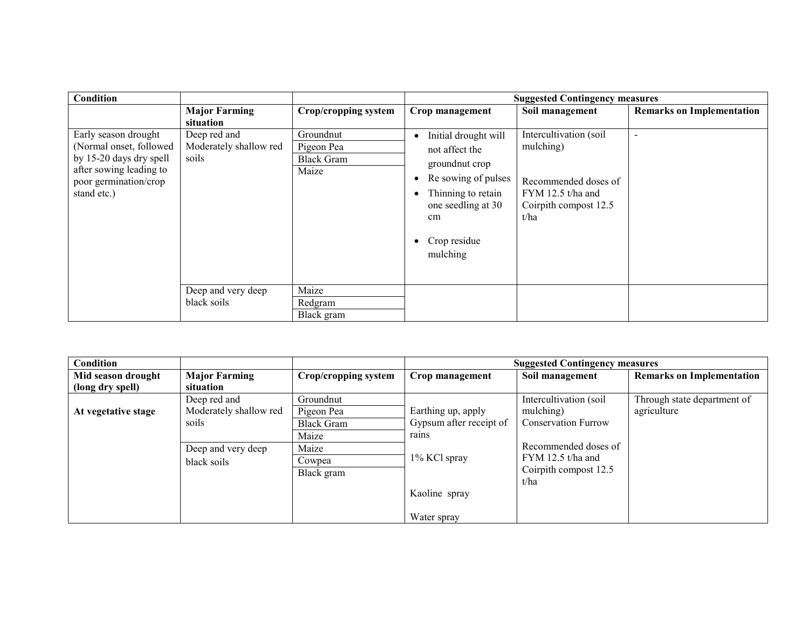| Condition                                                                                                                                     |                                                 |                                                       |                                                                                                                                                                         | <b>Suggested Contingency measures</b>                                                                             |                                  |
|-----------------------------------------------------------------------------------------------------------------------------------------------|-------------------------------------------------|-------------------------------------------------------|-------------------------------------------------------------------------------------------------------------------------------------------------------------------------|-------------------------------------------------------------------------------------------------------------------|----------------------------------|
|                                                                                                                                               | <b>Major Farming</b><br>situation               | Crop/cropping system                                  | Crop management                                                                                                                                                         | Soil management                                                                                                   | <b>Remarks on Implementation</b> |
| Early season drought<br>(Normal onset, followed<br>by 15-20 days dry spell<br>after sowing leading to<br>poor germination/crop<br>stand etc.) | Deep red and<br>Moderately shallow red<br>soils | Groundnut<br>Pigeon Pea<br><b>Black Gram</b><br>Maize | Initial drought will<br>٠<br>not affect the<br>groundnut crop<br>Re sowing of pulses<br>Thinning to retain<br>٠<br>one seedling at 30<br>cm<br>Crop residue<br>mulching | Intercultivation (soil<br>mulching)<br>Recommended doses of<br>FYM 12.5 t/ha and<br>Coirpith compost 12.5<br>t/ha | $\overline{\phantom{a}}$         |
|                                                                                                                                               | Deep and very deep<br>black soils               | Maize<br>Redgram<br>Black gram                        |                                                                                                                                                                         |                                                                                                                   |                                  |

| Condition           |                        |                      |                         | <b>Suggested Contingency measures</b> |                                  |
|---------------------|------------------------|----------------------|-------------------------|---------------------------------------|----------------------------------|
| Mid season drought  | <b>Major Farming</b>   | Crop/cropping system | Crop management         | Soil management                       | <b>Remarks on Implementation</b> |
| (long dry spell)    | situation              |                      |                         |                                       |                                  |
|                     | Deep red and           | Groundnut            |                         | Intercultivation (soil                | Through state department of      |
| At vegetative stage | Moderately shallow red | Pigeon Pea           | Earthing up, apply      | mulching)                             | agriculture                      |
|                     | soils                  | <b>Black Gram</b>    | Gypsum after receipt of | <b>Conservation Furrow</b>            |                                  |
|                     |                        | Maize                | rains                   |                                       |                                  |
|                     | Deep and very deep     | Maize                |                         | Recommended doses of                  |                                  |
|                     | black soils            | Cowpea               | 1% KCl spray            | $FYM$ 12.5 t/ha and                   |                                  |
|                     |                        | Black gram           |                         | Coirpith compost 12.5                 |                                  |
|                     |                        |                      |                         | t/ha                                  |                                  |
|                     |                        |                      | Kaoline spray           |                                       |                                  |
|                     |                        |                      |                         |                                       |                                  |
|                     |                        |                      | Water spray             |                                       |                                  |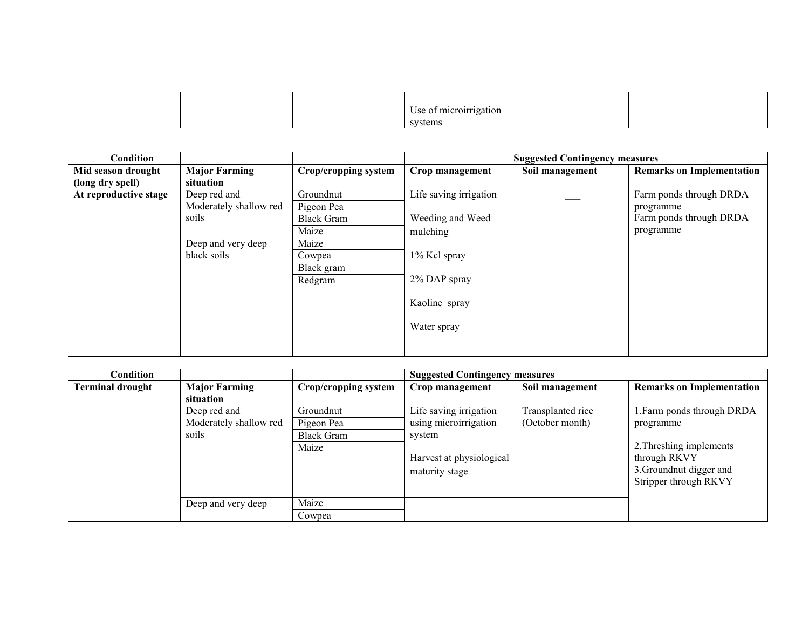|  | e of microirrigation<br>Jse.<br>$\sim$ $\sim$ $\sim$ $\sim$ |  |
|--|-------------------------------------------------------------|--|
|  | systems                                                     |  |

| Condition             |                        |                      |                        | <b>Suggested Contingency measures</b> |                                  |
|-----------------------|------------------------|----------------------|------------------------|---------------------------------------|----------------------------------|
| Mid season drought    | <b>Major Farming</b>   | Crop/cropping system | Crop management        | Soil management                       | <b>Remarks on Implementation</b> |
| (long dry spell)      | situation              |                      |                        |                                       |                                  |
| At reproductive stage | Deep red and           | Groundnut            | Life saving irrigation |                                       | Farm ponds through DRDA          |
|                       | Moderately shallow red | Pigeon Pea           |                        |                                       | programme                        |
|                       | soils                  | <b>Black Gram</b>    | Weeding and Weed       |                                       | Farm ponds through DRDA          |
|                       |                        | Maize                | mulching               |                                       | programme                        |
|                       | Deep and very deep     | Maize                |                        |                                       |                                  |
|                       | black soils            | Cowpea               | 1% Kcl spray           |                                       |                                  |
|                       |                        | Black gram           |                        |                                       |                                  |
|                       |                        | Redgram              | 2% DAP spray           |                                       |                                  |
|                       |                        |                      |                        |                                       |                                  |
|                       |                        |                      | Kaoline spray          |                                       |                                  |
|                       |                        |                      |                        |                                       |                                  |
|                       |                        |                      | Water spray            |                                       |                                  |
|                       |                        |                      |                        |                                       |                                  |
|                       |                        |                      |                        |                                       |                                  |

| $\complement$ ondition $\char`$ |                        |                      | <b>Suggested Contingency measures</b> |                   |                                  |
|---------------------------------|------------------------|----------------------|---------------------------------------|-------------------|----------------------------------|
| <b>Terminal drought</b>         | <b>Major Farming</b>   | Crop/cropping system | Crop management                       | Soil management   | <b>Remarks on Implementation</b> |
|                                 | situation              |                      |                                       |                   |                                  |
|                                 | Deep red and           | Groundnut            | Life saving irrigation                | Transplanted rice | 1. Farm ponds through DRDA       |
|                                 | Moderately shallow red | Pigeon Pea           | using microirrigation                 | (October month)   | programme                        |
|                                 | soils                  | <b>Black Gram</b>    | system                                |                   |                                  |
|                                 |                        | Maize                |                                       |                   | 2. Threshing implements          |
|                                 |                        |                      | Harvest at physiological              |                   | through RKVY                     |
|                                 |                        |                      | maturity stage                        |                   | 3. Groundnut digger and          |
|                                 |                        |                      |                                       |                   | Stripper through RKVY            |
|                                 |                        |                      |                                       |                   |                                  |
|                                 | Deep and very deep     | Maize                |                                       |                   |                                  |
|                                 |                        | Cowpea               |                                       |                   |                                  |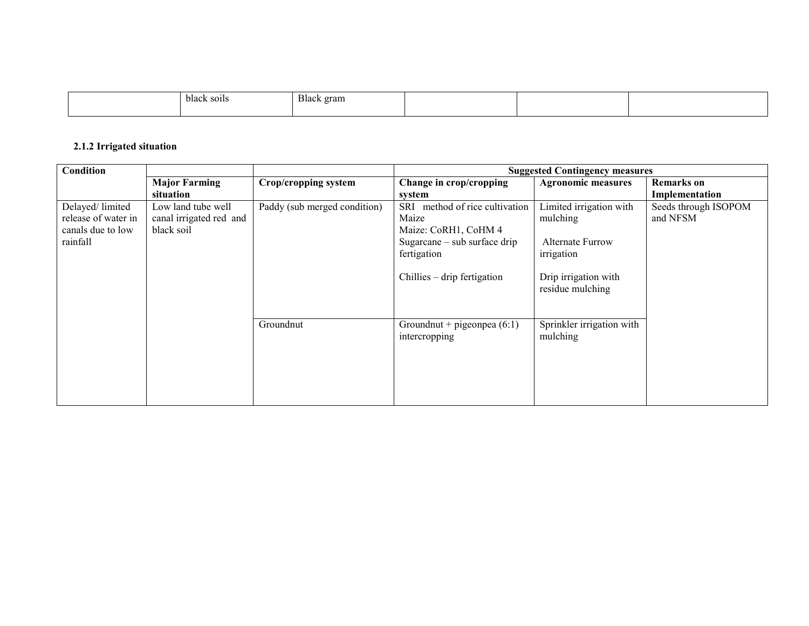| black soils<br>. | Black.<br>gram |  |  |
|------------------|----------------|--|--|
|                  |                |  |  |

#### 2.1.2 Irrigated situation

| Condition                                                               |                                                             |                              |                                                                                                                                                           | <b>Suggested Contingency measures</b>                                                                                    |                                     |
|-------------------------------------------------------------------------|-------------------------------------------------------------|------------------------------|-----------------------------------------------------------------------------------------------------------------------------------------------------------|--------------------------------------------------------------------------------------------------------------------------|-------------------------------------|
|                                                                         | <b>Major Farming</b><br>situation                           | Crop/cropping system         | Change in crop/cropping<br>system                                                                                                                         | <b>Agronomic measures</b>                                                                                                | <b>Remarks</b> on<br>Implementation |
| Delayed/limited<br>release of water in<br>canals due to low<br>rainfall | Low land tube well<br>canal irrigated red and<br>black soil | Paddy (sub merged condition) | method of rice cultivation<br><b>SRI</b><br>Maize<br>Maize: CoRH1, CoHM 4<br>Sugarcane $-$ sub surface drip<br>fertigation<br>Chillies – drip fertigation | Limited irrigation with<br>mulching<br><b>Alternate Furrow</b><br>irrigation<br>Drip irrigation with<br>residue mulching | Seeds through ISOPOM<br>and NFSM    |
|                                                                         |                                                             | Groundnut                    | Groundnut + pigeonpea $(6:1)$<br>intercropping                                                                                                            | Sprinkler irrigation with<br>mulching                                                                                    |                                     |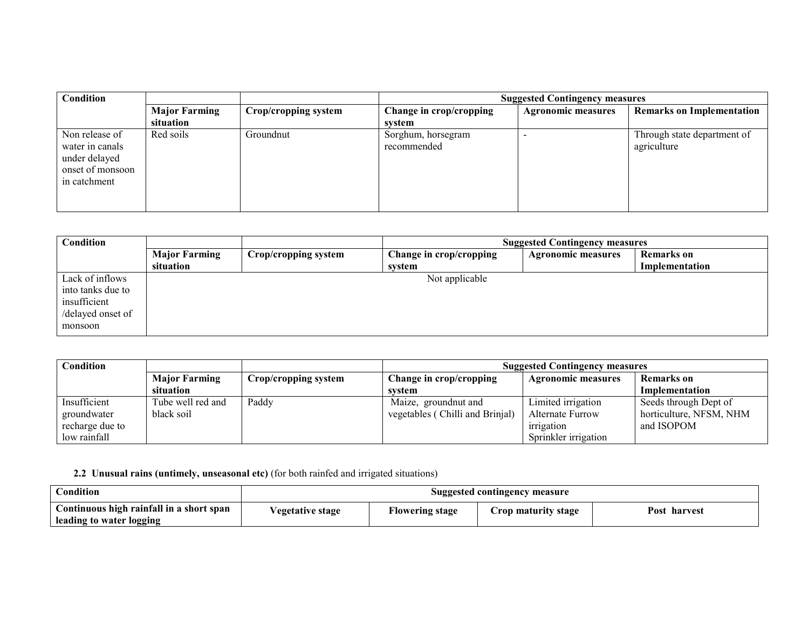| <b>Condition</b>                                                                       |                                   |                      | <b>Suggested Contingency measures</b> |                           |                                            |  |
|----------------------------------------------------------------------------------------|-----------------------------------|----------------------|---------------------------------------|---------------------------|--------------------------------------------|--|
|                                                                                        | <b>Major Farming</b><br>situation | Crop/cropping system | Change in crop/cropping<br>svstem     | <b>Agronomic measures</b> | <b>Remarks on Implementation</b>           |  |
| Non release of<br>water in canals<br>under delayed<br>onset of monsoon<br>in catchment | Red soils                         | Groundnut            | Sorghum, horsegram<br>recommended     |                           | Through state department of<br>agriculture |  |

| <b>Condition</b>  |                      |                      | <b>Suggested Contingency measures</b> |                           |                   |  |
|-------------------|----------------------|----------------------|---------------------------------------|---------------------------|-------------------|--|
|                   | <b>Major Farming</b> | Crop/cropping system | Change in crop/cropping               | <b>Agronomic measures</b> | <b>Remarks</b> on |  |
|                   | situation            |                      | system                                |                           | Implementation    |  |
| Lack of inflows   |                      |                      | Not applicable                        |                           |                   |  |
| into tanks due to |                      |                      |                                       |                           |                   |  |
| insufficient      |                      |                      |                                       |                           |                   |  |
| /delayed onset of |                      |                      |                                       |                           |                   |  |
| monsoon           |                      |                      |                                       |                           |                   |  |

| <b>Condition</b> |                      |                      | <b>Suggested Contingency measures</b> |                           |                         |
|------------------|----------------------|----------------------|---------------------------------------|---------------------------|-------------------------|
|                  | <b>Major Farming</b> | Crop/cropping system | Change in crop/cropping               | <b>Agronomic measures</b> | <b>Remarks</b> on       |
|                  | situation            |                      | system                                |                           | Implementation          |
| Insufficient     | Tube well red and    | Paddy                | Maize, groundnut and                  | Limited irrigation        | Seeds through Dept of   |
| groundwater      | black soil           |                      | vegetables (Chilli and Brinjal)       | Alternate Furrow          | horticulture, NFSM, NHM |
| recharge due to  |                      |                      |                                       | irrigation                | and ISOPOM              |
| low rainfall     |                      |                      |                                       | Sprinkler irrigation      |                         |

2.2 Unusual rains (untimely, unseasonal etc) (for both rainfed and irrigated situations)

| Condition                                | Suggested contingency measure |                        |                     |              |
|------------------------------------------|-------------------------------|------------------------|---------------------|--------------|
| Continuous high rainfall in a short span | ∕egetative stage              | <b>Flowering stage</b> | Crop maturity stage | Post harvest |
| leading to water logging                 |                               |                        |                     |              |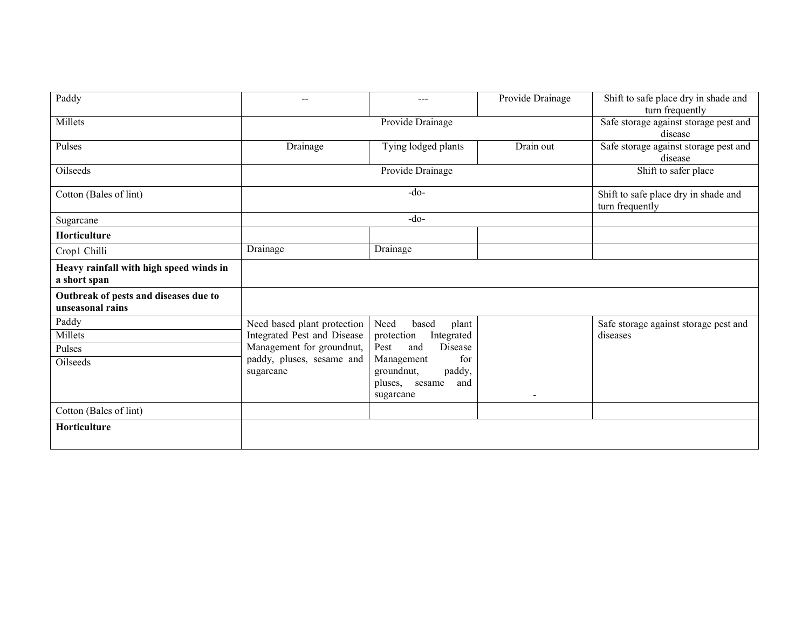| Paddy                                                     | $- -$                                                  | $---$                                                                       | Provide Drainage | Shift to safe place dry in shade and<br>turn frequently |
|-----------------------------------------------------------|--------------------------------------------------------|-----------------------------------------------------------------------------|------------------|---------------------------------------------------------|
| Millets                                                   | Provide Drainage                                       |                                                                             |                  | Safe storage against storage pest and<br>disease        |
| Pulses                                                    | Drainage                                               | Tying lodged plants                                                         | Drain out        | Safe storage against storage pest and<br>disease        |
| Oilseeds                                                  |                                                        | Provide Drainage                                                            |                  | Shift to safer place                                    |
| Cotton (Bales of lint)                                    | $-do$                                                  |                                                                             |                  | Shift to safe place dry in shade and<br>turn frequently |
| Sugarcane                                                 |                                                        | $-do-$                                                                      |                  |                                                         |
| Horticulture                                              |                                                        |                                                                             |                  |                                                         |
| Crop1 Chilli                                              | Drainage                                               | Drainage                                                                    |                  |                                                         |
| Heavy rainfall with high speed winds in<br>a short span   |                                                        |                                                                             |                  |                                                         |
| Outbreak of pests and diseases due to<br>unseasonal rains |                                                        |                                                                             |                  |                                                         |
| Paddy                                                     | Need based plant protection                            | Need<br>based<br>plant                                                      |                  | Safe storage against storage pest and                   |
| Millets                                                   | Integrated Pest and Disease                            | protection<br>Integrated                                                    |                  | diseases                                                |
| Pulses                                                    | Management for groundnut,<br>paddy, pluses, sesame and | <b>Disease</b><br>Pest<br>and<br>for                                        |                  |                                                         |
| Oilseeds                                                  | sugarcane                                              | Management<br>paddy,<br>groundnut,<br>pluses,<br>and<br>sesame<br>sugarcane | $\blacksquare$   |                                                         |
| Cotton (Bales of lint)                                    |                                                        |                                                                             |                  |                                                         |
|                                                           |                                                        |                                                                             |                  |                                                         |
| Horticulture                                              |                                                        |                                                                             |                  |                                                         |
|                                                           |                                                        |                                                                             |                  |                                                         |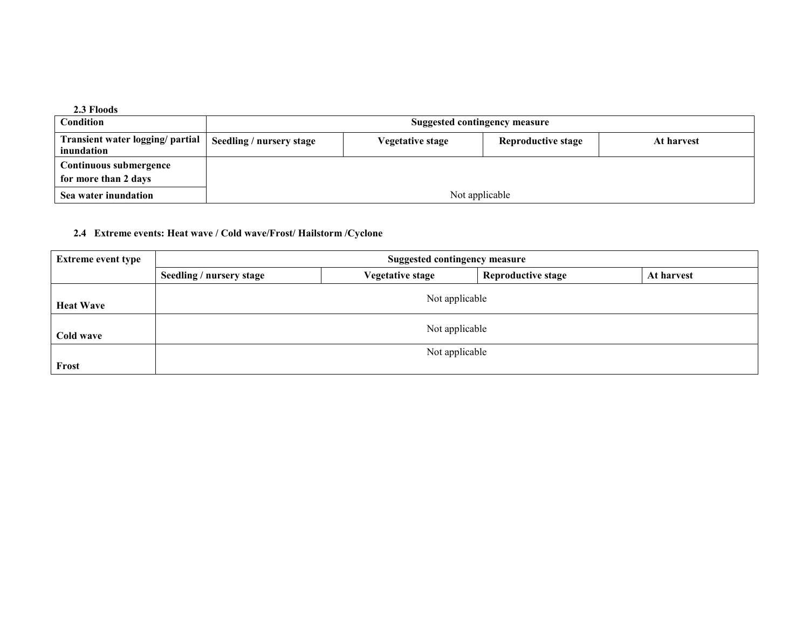| 2.3 Floods                                     |                               |                         |                           |            |
|------------------------------------------------|-------------------------------|-------------------------|---------------------------|------------|
| Condition                                      | Suggested contingency measure |                         |                           |            |
| Transient water logging/ partial<br>inundation | Seedling / nursery stage      | <b>Vegetative stage</b> | <b>Reproductive stage</b> | At harvest |
| Continuous submergence                         |                               |                         |                           |            |
| for more than 2 days                           |                               |                         |                           |            |
| Sea water inundation                           | Not applicable                |                         |                           |            |

### 2.4 Extreme events: Heat wave / Cold wave/Frost/ Hailstorm /Cyclone

| <b>Extreme event type</b> | <b>Suggested contingency measure</b> |                         |                           |            |  |  |
|---------------------------|--------------------------------------|-------------------------|---------------------------|------------|--|--|
|                           | Seedling / nursery stage             | <b>Vegetative stage</b> | <b>Reproductive stage</b> | At harvest |  |  |
| <b>Heat Wave</b>          | Not applicable                       |                         |                           |            |  |  |
| Cold wave                 | Not applicable                       |                         |                           |            |  |  |
| Frost                     |                                      | Not applicable          |                           |            |  |  |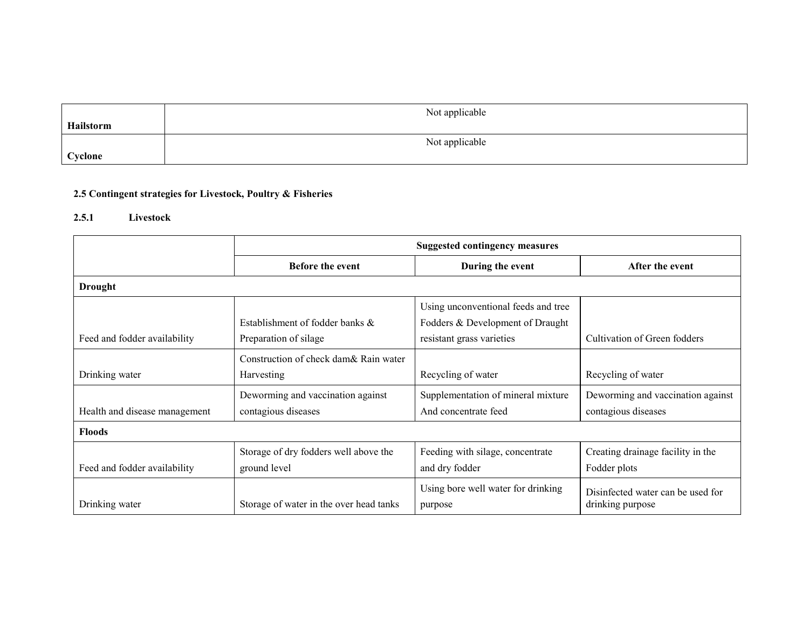|           | Not applicable |
|-----------|----------------|
| Hailstorm |                |
|           | Not applicable |
| Cyclone   |                |

## 2.5 Contingent strategies for Livestock, Poultry & Fisheries

## 2.5.1 Livestock

|                               | <b>Suggested contingency measures</b>                    |                                                                                                      |                                                          |  |
|-------------------------------|----------------------------------------------------------|------------------------------------------------------------------------------------------------------|----------------------------------------------------------|--|
|                               | <b>Before the event</b>                                  | During the event                                                                                     | After the event                                          |  |
| <b>Drought</b>                |                                                          |                                                                                                      |                                                          |  |
| Feed and fodder availability  | Establishment of fodder banks &<br>Preparation of silage | Using unconventional feeds and tree<br>Fodders & Development of Draught<br>resistant grass varieties | Cultivation of Green fodders                             |  |
| Drinking water                | Construction of check dam& Rain water<br>Harvesting      | Recycling of water                                                                                   | Recycling of water                                       |  |
| Health and disease management | Deworming and vaccination against<br>contagious diseases | Supplementation of mineral mixture<br>And concentrate feed                                           | Deworming and vaccination against<br>contagious diseases |  |
| <b>Floods</b>                 |                                                          |                                                                                                      |                                                          |  |
| Feed and fodder availability  | Storage of dry fodders well above the<br>ground level    | Feeding with silage, concentrate<br>and dry fodder                                                   | Creating drainage facility in the<br>Fodder plots        |  |
| Drinking water                | Storage of water in the over head tanks                  | Using bore well water for drinking<br>purpose                                                        | Disinfected water can be used for<br>drinking purpose    |  |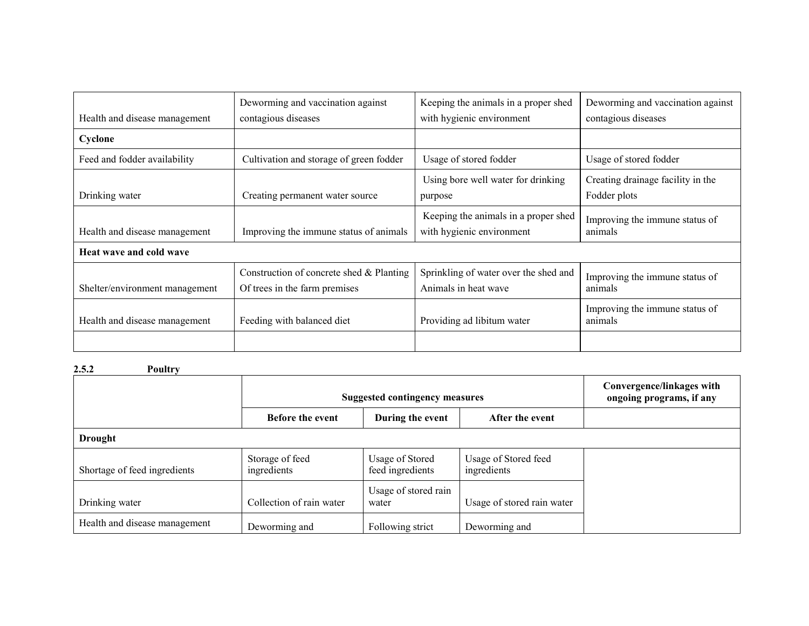|                                | Deworming and vaccination against        | Keeping the animals in a proper shed  | Deworming and vaccination against         |
|--------------------------------|------------------------------------------|---------------------------------------|-------------------------------------------|
| Health and disease management  | contagious diseases                      | with hygienic environment             | contagious diseases                       |
| Cyclone                        |                                          |                                       |                                           |
| Feed and fodder availability   | Cultivation and storage of green fodder  | Usage of stored fodder                | Usage of stored fodder                    |
|                                |                                          | Using bore well water for drinking    | Creating drainage facility in the         |
| Drinking water                 | Creating permanent water source          | purpose                               | Fodder plots                              |
|                                |                                          | Keeping the animals in a proper shed  | Improving the immune status of            |
| Health and disease management  | Improving the immune status of animals   | with hygienic environment             | animals                                   |
| Heat wave and cold wave        |                                          |                                       |                                           |
|                                | Construction of concrete shed & Planting | Sprinkling of water over the shed and | Improving the immune status of            |
| Shelter/environment management | Of trees in the farm premises            | Animals in heat wave                  | animals                                   |
| Health and disease management  | Feeding with balanced diet               | Providing ad libitum water            | Improving the immune status of<br>animals |
|                                |                                          |                                       |                                           |

2.5.2 Poultry

|                               | <b>Suggested contingency measures</b>                          |                                     |                                     | Convergence/linkages with<br>ongoing programs, if any |  |
|-------------------------------|----------------------------------------------------------------|-------------------------------------|-------------------------------------|-------------------------------------------------------|--|
|                               | <b>Before the event</b><br>During the event<br>After the event |                                     |                                     |                                                       |  |
| <b>Drought</b>                |                                                                |                                     |                                     |                                                       |  |
| Shortage of feed ingredients  | Storage of feed<br>ingredients                                 | Usage of Stored<br>feed ingredients | Usage of Stored feed<br>ingredients |                                                       |  |
| Drinking water                | Collection of rain water                                       | Usage of stored rain<br>water       | Usage of stored rain water          |                                                       |  |
| Health and disease management | Deworming and                                                  | Following strict                    | Deworming and                       |                                                       |  |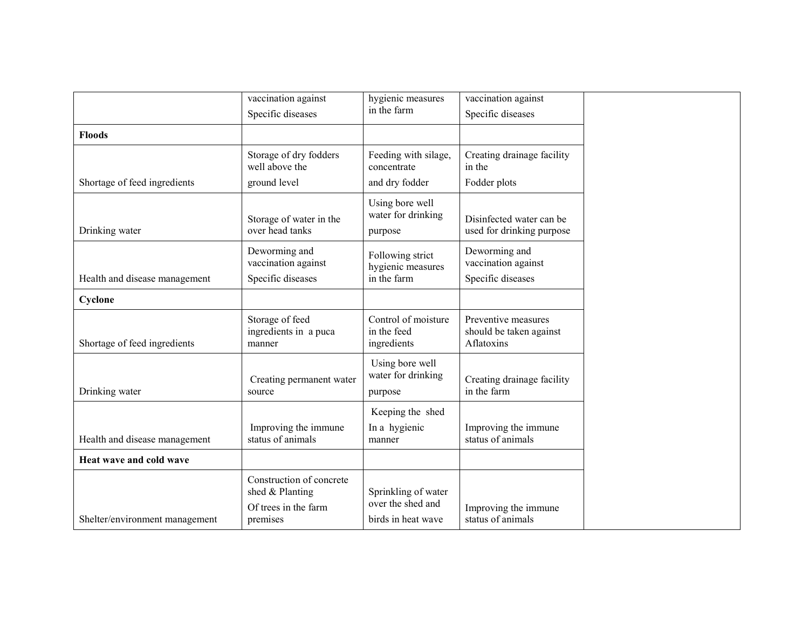|                                | vaccination against                                                             | hygienic measures                                              | vaccination against                                          |
|--------------------------------|---------------------------------------------------------------------------------|----------------------------------------------------------------|--------------------------------------------------------------|
|                                | Specific diseases                                                               | in the farm                                                    | Specific diseases                                            |
| <b>Floods</b>                  |                                                                                 |                                                                |                                                              |
|                                | Storage of dry fodders<br>well above the                                        | Feeding with silage,<br>concentrate                            | Creating drainage facility<br>in the                         |
| Shortage of feed ingredients   | ground level                                                                    | and dry fodder                                                 | Fodder plots                                                 |
| Drinking water                 | Storage of water in the<br>over head tanks                                      | Using bore well<br>water for drinking<br>purpose               | Disinfected water can be<br>used for drinking purpose        |
| Health and disease management  | Deworming and<br>vaccination against<br>Specific diseases                       | Following strict<br>hygienic measures<br>in the farm           | Deworming and<br>vaccination against<br>Specific diseases    |
| Cyclone                        |                                                                                 |                                                                |                                                              |
| Shortage of feed ingredients   | Storage of feed<br>ingredients in a puca<br>manner                              | Control of moisture<br>in the feed<br>ingredients              | Preventive measures<br>should be taken against<br>Aflatoxins |
| Drinking water                 | Creating permanent water<br>source                                              | Using bore well<br>water for drinking<br>purpose               | Creating drainage facility<br>in the farm                    |
| Health and disease management  | Improving the immune<br>status of animals                                       | Keeping the shed<br>In a hygienic<br>manner                    | Improving the immune<br>status of animals                    |
| Heat wave and cold wave        |                                                                                 |                                                                |                                                              |
| Shelter/environment management | Construction of concrete<br>shed & Planting<br>Of trees in the farm<br>premises | Sprinkling of water<br>over the shed and<br>birds in heat wave | Improving the immune<br>status of animals                    |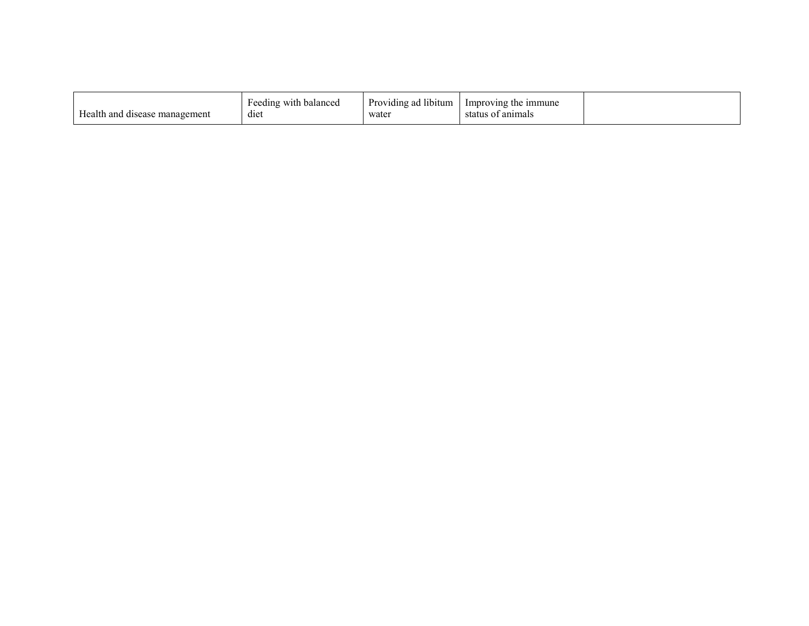|--|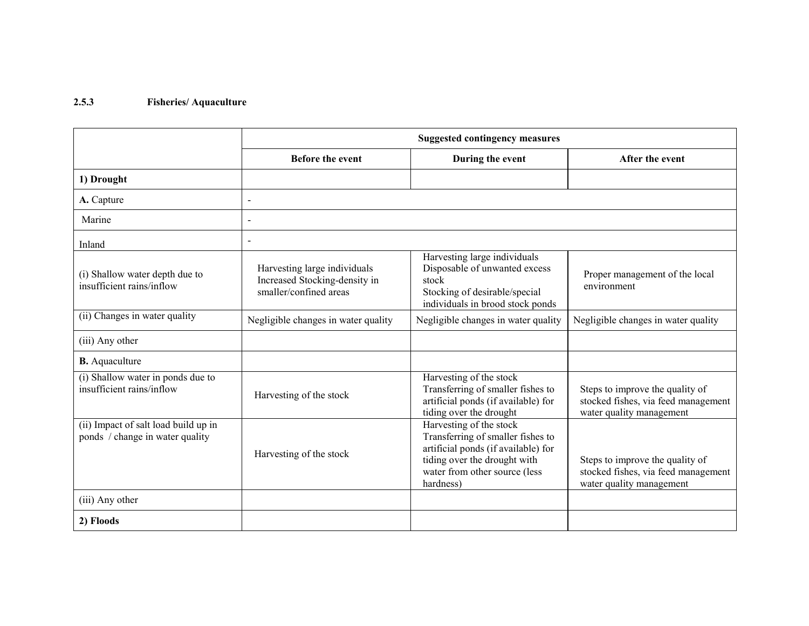#### 2.5.3 Fisheries/ Aquaculture

|                                                                         | <b>Suggested contingency measures</b>                                                   |                                                                                                                                                                                   |                                                                                                    |  |
|-------------------------------------------------------------------------|-----------------------------------------------------------------------------------------|-----------------------------------------------------------------------------------------------------------------------------------------------------------------------------------|----------------------------------------------------------------------------------------------------|--|
|                                                                         | <b>Before the event</b>                                                                 | During the event                                                                                                                                                                  | After the event                                                                                    |  |
| 1) Drought                                                              |                                                                                         |                                                                                                                                                                                   |                                                                                                    |  |
| A. Capture                                                              | $\overline{a}$                                                                          |                                                                                                                                                                                   |                                                                                                    |  |
| Marine                                                                  |                                                                                         |                                                                                                                                                                                   |                                                                                                    |  |
| Inland                                                                  |                                                                                         |                                                                                                                                                                                   |                                                                                                    |  |
| (i) Shallow water depth due to<br>insufficient rains/inflow             | Harvesting large individuals<br>Increased Stocking-density in<br>smaller/confined areas | Harvesting large individuals<br>Disposable of unwanted excess<br>stock<br>Stocking of desirable/special<br>individuals in brood stock ponds                                       | Proper management of the local<br>environment                                                      |  |
| (ii) Changes in water quality                                           | Negligible changes in water quality                                                     | Negligible changes in water quality                                                                                                                                               | Negligible changes in water quality                                                                |  |
| (iii) Any other                                                         |                                                                                         |                                                                                                                                                                                   |                                                                                                    |  |
| <b>B.</b> Aquaculture                                                   |                                                                                         |                                                                                                                                                                                   |                                                                                                    |  |
| (i) Shallow water in ponds due to<br>insufficient rains/inflow          | Harvesting of the stock                                                                 | Harvesting of the stock<br>Transferring of smaller fishes to<br>artificial ponds (if available) for<br>tiding over the drought                                                    | Steps to improve the quality of<br>stocked fishes, via feed management<br>water quality management |  |
| (ii) Impact of salt load build up in<br>ponds / change in water quality | Harvesting of the stock                                                                 | Harvesting of the stock<br>Transferring of smaller fishes to<br>artificial ponds (if available) for<br>tiding over the drought with<br>water from other source (less<br>hardness) | Steps to improve the quality of<br>stocked fishes, via feed management<br>water quality management |  |
| (iii) Any other                                                         |                                                                                         |                                                                                                                                                                                   |                                                                                                    |  |
| 2) Floods                                                               |                                                                                         |                                                                                                                                                                                   |                                                                                                    |  |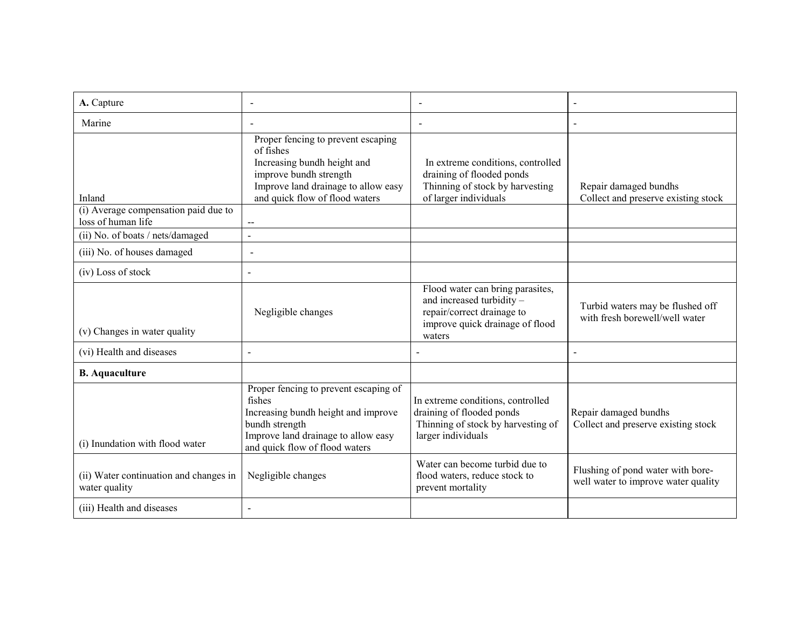| A. Capture                                                           |                                                                                                                                                                                                     |                                                                                                                                          |                                                                          |
|----------------------------------------------------------------------|-----------------------------------------------------------------------------------------------------------------------------------------------------------------------------------------------------|------------------------------------------------------------------------------------------------------------------------------------------|--------------------------------------------------------------------------|
| Marine                                                               |                                                                                                                                                                                                     |                                                                                                                                          |                                                                          |
| Inland<br>(i) Average compensation paid due to<br>loss of human life | Proper fencing to prevent escaping<br>of fishes<br>Increasing bundh height and<br>improve bundh strength<br>Improve land drainage to allow easy<br>and quick flow of flood waters<br>$\overline{a}$ | In extreme conditions, controlled<br>draining of flooded ponds<br>Thinning of stock by harvesting<br>of larger individuals               | Repair damaged bundhs<br>Collect and preserve existing stock             |
| (ii) No. of boats / nets/damaged                                     | $\blacksquare$                                                                                                                                                                                      |                                                                                                                                          |                                                                          |
| (iii) No. of houses damaged                                          | $\overline{\phantom{a}}$                                                                                                                                                                            |                                                                                                                                          |                                                                          |
| (iv) Loss of stock                                                   |                                                                                                                                                                                                     |                                                                                                                                          |                                                                          |
| (v) Changes in water quality                                         | Negligible changes                                                                                                                                                                                  | Flood water can bring parasites,<br>and increased turbidity -<br>repair/correct drainage to<br>improve quick drainage of flood<br>waters | Turbid waters may be flushed off<br>with fresh borewell/well water       |
| (vi) Health and diseases                                             |                                                                                                                                                                                                     |                                                                                                                                          | $\overline{a}$                                                           |
| <b>B.</b> Aquaculture                                                |                                                                                                                                                                                                     |                                                                                                                                          |                                                                          |
| (i) Inundation with flood water                                      | Proper fencing to prevent escaping of<br>fishes<br>Increasing bundh height and improve<br>bundh strength<br>Improve land drainage to allow easy<br>and quick flow of flood waters                   | In extreme conditions, controlled<br>draining of flooded ponds<br>Thinning of stock by harvesting of<br>larger individuals               | Repair damaged bundhs<br>Collect and preserve existing stock             |
| (ii) Water continuation and changes in<br>water quality              | Negligible changes                                                                                                                                                                                  | Water can become turbid due to<br>flood waters, reduce stock to<br>prevent mortality                                                     | Flushing of pond water with bore-<br>well water to improve water quality |
| (iii) Health and diseases                                            |                                                                                                                                                                                                     |                                                                                                                                          |                                                                          |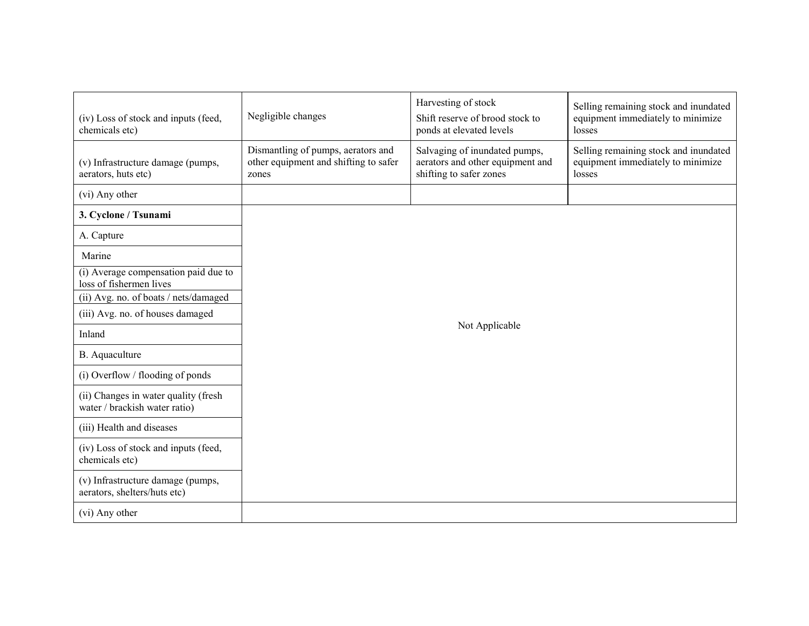| (iv) Loss of stock and inputs (feed,<br>chemicals etc)                | Negligible changes                                                                   | Harvesting of stock<br>Shift reserve of brood stock to<br>ponds at elevated levels           | Selling remaining stock and inundated<br>equipment immediately to minimize<br>losses |  |
|-----------------------------------------------------------------------|--------------------------------------------------------------------------------------|----------------------------------------------------------------------------------------------|--------------------------------------------------------------------------------------|--|
| (v) Infrastructure damage (pumps,<br>aerators, huts etc)              | Dismantling of pumps, aerators and<br>other equipment and shifting to safer<br>zones | Salvaging of inundated pumps,<br>aerators and other equipment and<br>shifting to safer zones | Selling remaining stock and inundated<br>equipment immediately to minimize<br>losses |  |
| (vi) Any other                                                        |                                                                                      |                                                                                              |                                                                                      |  |
| 3. Cyclone / Tsunami                                                  |                                                                                      |                                                                                              |                                                                                      |  |
| A. Capture                                                            |                                                                                      |                                                                                              |                                                                                      |  |
| Marine                                                                |                                                                                      |                                                                                              |                                                                                      |  |
| (i) Average compensation paid due to<br>loss of fishermen lives       |                                                                                      |                                                                                              |                                                                                      |  |
| (ii) Avg. no. of boats / nets/damaged                                 |                                                                                      |                                                                                              |                                                                                      |  |
| (iii) Avg. no. of houses damaged                                      | Not Applicable                                                                       |                                                                                              |                                                                                      |  |
| Inland                                                                |                                                                                      |                                                                                              |                                                                                      |  |
| B. Aquaculture                                                        |                                                                                      |                                                                                              |                                                                                      |  |
| $(i)$ Overflow / flooding of ponds                                    |                                                                                      |                                                                                              |                                                                                      |  |
| (ii) Changes in water quality (fresh<br>water / brackish water ratio) |                                                                                      |                                                                                              |                                                                                      |  |
| (iii) Health and diseases                                             |                                                                                      |                                                                                              |                                                                                      |  |
| (iv) Loss of stock and inputs (feed,<br>chemicals etc)                |                                                                                      |                                                                                              |                                                                                      |  |
| (v) Infrastructure damage (pumps,<br>aerators, shelters/huts etc)     |                                                                                      |                                                                                              |                                                                                      |  |
| (vi) Any other                                                        |                                                                                      |                                                                                              |                                                                                      |  |